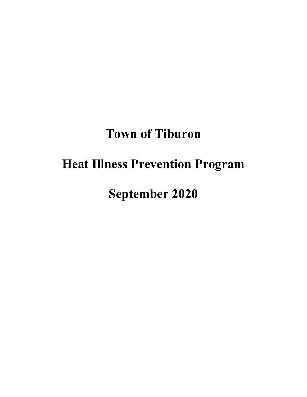# **Town of Tiburon**

# **Heat Illness Prevention Program**

**September 2020**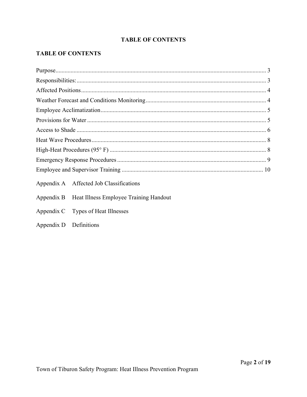# **TABLE OF CONTENTS**

# **TABLE OF CONTENTS**

| Appendix A Affected Job Classifications           |  |  |  |  |
|---------------------------------------------------|--|--|--|--|
| Appendix B Heat Illness Employee Training Handout |  |  |  |  |
| Appendix C Types of Heat Illnesses                |  |  |  |  |
| Appendix D Definitions                            |  |  |  |  |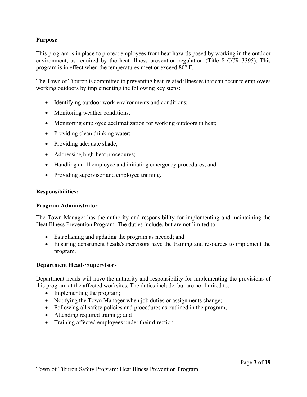### <span id="page-2-0"></span>**Purpose**

This program is in place to protect employees from heat hazards posed by working in the outdoor environment, as required by the heat illness prevention regulation (Title 8 CCR 3395). This program is in effect when the temperatures meet or exceed 80**°** F.

The Town of Tiburon is committed to preventing heat-related illnesses that can occur to employees working outdoors by implementing the following key steps:

- Identifying outdoor work environments and conditions;
- Monitoring weather conditions;
- Monitoring employee acclimatization for working outdoors in heat;
- Providing clean drinking water;
- Providing adequate shade;
- Addressing high-heat procedures;
- Handling an ill employee and initiating emergency procedures; and
- Providing supervisor and employee training.

#### <span id="page-2-1"></span>**Responsibilities:**

#### **Program Administrator**

The Town Manager has the authority and responsibility for implementing and maintaining the Heat Illness Prevention Program. The duties include, but are not limited to:

- Establishing and updating the program as needed; and
- Ensuring department heads/supervisors have the training and resources to implement the program.

#### **Department Heads/Supervisors**

Department heads will have the authority and responsibility for implementing the provisions of this program at the affected worksites. The duties include, but are not limited to:

- Implementing the program;
- Notifying the Town Manager when job duties or assignments change;
- Following all safety policies and procedures as outlined in the program;
- Attending required training; and
- Training affected employees under their direction.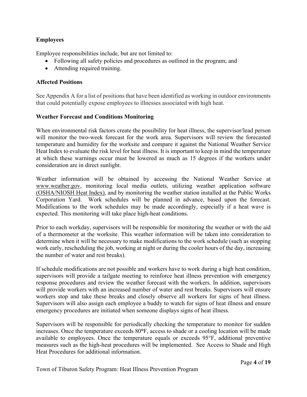# **Employees**

Employee responsibilities include, but are not limited to:

- Following all safety policies and procedures as outlined in the program; and
- Attending required training.

# <span id="page-3-0"></span>**Affected Positions**

See Appendix A for a list of positions that have been identified as working in outdoor environments that could potentially expose employees to illnesses associated with high heat.

## <span id="page-3-1"></span>**Weather Forecast and Conditions Monitoring**

When environmental risk factors create the possibility for heat illness, the supervisor/lead person will monitor the two-week forecast for the work area. Supervisors will review the forecasted temperature and humidity for the worksite and compare it against the National Weather Service Heat Index to evaluate the risk level for heat illness. It is important to keep in mind the temperature at which these warnings occur must be lowered as much as 15 degrees if the workers under consideration are in direct sunlight.

Weather information will be obtained by accessing the National Weather Service at [www.weather.gov,](http://www.weather.gov/) monitoring local media outlets, utilizing weather application software (OSHA/NIOSH Heat Index), and by monitoring the weather station installed at the Public Works Corporation Yard. Work schedules will be planned in advance, based upon the forecast. Modifications to the work schedules may be made accordingly, especially if a heat wave is expected. This monitoring will take place high-heat conditions.

Prior to each workday, supervisors will be responsible for monitoring the weather or with the aid of a thermometer at the worksite. This weather information will be taken into consideration to determine when it will be necessary to make modifications to the work schedule (such as stopping work early, rescheduling the job, working at night or during the cooler hours of the day, increasing the number of water and rest breaks).

If schedule modifications are not possible and workers have to work during a high heat condition, supervisors will provide a tailgate meeting to reinforce heat illness prevention with emergency response procedures and review the weather forecast with the workers. In addition, supervisors will provide workers with an increased number of water and rest breaks. Supervisors will ensure workers stop and take these breaks and closely observe all workers for signs of heat illness. Supervisors will also assign each employee a buddy to watch for signs of heat illness and ensure emergency procedures are initiated when someone displays signs of heat illness.

Supervisors will be responsible for periodically checking the temperature to monitor for sudden increases. Once the temperature exceeds 80**°**F, access to shade or a cooling location will be made available to employees. Once the temperature equals or exceeds 95°F, additional preventive measures such as the high-heat procedures will be implemented. See Access to Shade and High Heat Procedures for additional information.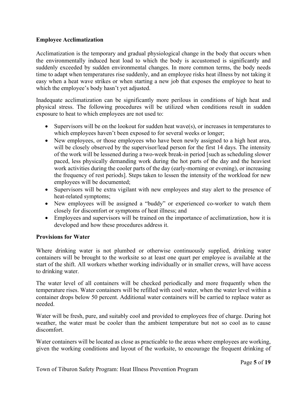# <span id="page-4-0"></span>**Employee Acclimatization**

Acclimatization is the temporary and gradual physiological change in the body that occurs when the environmentally induced heat load to which the body is accustomed is significantly and suddenly exceeded by sudden environmental changes. In more common terms, the body needs time to adapt when temperatures rise suddenly, and an employee risks heat illness by not taking it easy when a heat wave strikes or when starting a new job that exposes the employee to heat to which the employee's body hasn't yet adjusted.

Inadequate acclimatization can be significantly more perilous in conditions of high heat and physical stress. The following procedures will be utilized when conditions result in sudden exposure to heat to which employees are not used to:

- Supervisors will be on the lookout for sudden heat wave(s), or increases in temperatures to which employees haven't been exposed to for several weeks or longer;
- New employees, or those employees who have been newly assigned to a high heat area, will be closely observed by the supervisor/lead person for the first 14 days. The intensity of the work will be lessened during a two-week break-in period [such as scheduling slower paced, less physically demanding work during the hot parts of the day and the heaviest work activities during the cooler parts of the day (early-morning or evening), or increasing the frequency of rest periods]. Steps taken to lessen the intensity of the workload for new employees will be documented;
- Supervisors will be extra vigilant with new employees and stay alert to the presence of heat-related symptoms;
- New employees will be assigned a "buddy" or experienced co-worker to watch them closely for discomfort or symptoms of heat illness; and
- Employees and supervisors will be trained on the importance of acclimatization, how it is developed and how these procedures address it.

# <span id="page-4-1"></span>**Provisions for Water**

Where drinking water is not plumbed or otherwise continuously supplied, drinking water containers will be brought to the worksite so at least one quart per employee is available at the start of the shift. All workers whether working individually or in smaller crews, will have access to drinking water.

The water level of all containers will be checked periodically and more frequently when the temperature rises. Water containers will be refilled with cool water, when the water level within a container drops below 50 percent. Additional water containers will be carried to replace water as needed.

Water will be fresh, pure, and suitably cool and provided to employees free of charge. During hot weather, the water must be cooler than the ambient temperature but not so cool as to cause discomfort.

Water containers will be located as close as practicable to the areas where employees are working, given the working conditions and layout of the worksite, to encourage the frequent drinking of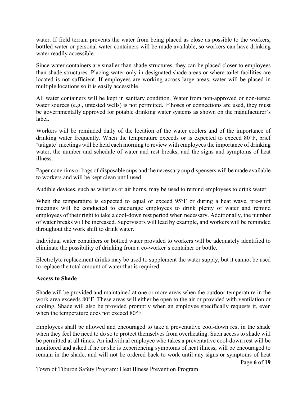water. If field terrain prevents the water from being placed as close as possible to the workers, bottled water or personal water containers will be made available, so workers can have drinking water readily accessible.

Since water containers are smaller than shade structures, they can be placed closer to employees than shade structures. Placing water only in designated shade areas or where toilet facilities are located is not sufficient. If employees are working across large areas, water will be placed in multiple locations so it is easily accessible.

All water containers will be kept in sanitary condition. Water from non-approved or non-tested water sources (e.g., untested wells) is not permitted. If hoses or connections are used, they must be governmentally approved for potable drinking water systems as shown on the manufacturer's label.

Workers will be reminded daily of the location of the water coolers and of the importance of drinking water frequently. When the temperature exceeds or is expected to exceed 80°F, brief 'tailgate' meetings will be held each morning to review with employees the importance of drinking water, the number and schedule of water and rest breaks, and the signs and symptoms of heat illness.

Paper cone rims or bags of disposable cups and the necessary cup dispensers will be made available to workers and will be kept clean until used.

Audible devices, such as whistles or air horns, may be used to remind employees to drink water.

When the temperature is expected to equal or exceed 95°F or during a heat wave, pre-shift meetings will be conducted to encourage employees to drink plenty of water and remind employees of their right to take a cool-down rest period when necessary. Additionally, the number of water breaks will be increased. Supervisors will lead by example, and workers will be reminded throughout the work shift to drink water.

Individual water containers or bottled water provided to workers will be adequately identified to eliminate the possibility of drinking from a co-worker's container or bottle.

Electrolyte replacement drinks may be used to supplement the water supply, but it cannot be used to replace the total amount of water that is required.

# <span id="page-5-0"></span>**Access to Shade**

Shade will be provided and maintained at one or more areas when the outdoor temperature in the work area exceeds 80°F. These areas will either be open to the air or provided with ventilation or cooling. Shade will also be provided promptly when an employee specifically requests it, even when the temperature does not exceed 80°F.

Employees shall be allowed and encouraged to take a preventative cool-down rest in the shade when they feel the need to do so to protect themselves from overheating. Such access to shade will be permitted at all times. An individual employee who takes a preventative cool-down rest will be monitored and asked if he or she is experiencing symptoms of heat illness, will be encouraged to remain in the shade, and will not be ordered back to work until any signs or symptoms of heat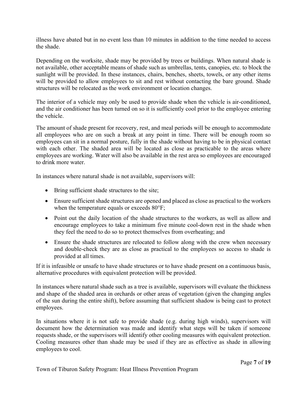illness have abated but in no event less than 10 minutes in addition to the time needed to access the shade.

Depending on the worksite, shade may be provided by trees or buildings. When natural shade is not available, other acceptable means of shade such as umbrellas, tents, canopies, etc. to block the sunlight will be provided. In these instances, chairs, benches, sheets, towels, or any other items will be provided to allow employees to sit and rest without contacting the bare ground. Shade structures will be relocated as the work environment or location changes.

The interior of a vehicle may only be used to provide shade when the vehicle is air-conditioned, and the air conditioner has been turned on so it is sufficiently cool prior to the employee entering the vehicle.

The amount of shade present for recovery, rest, and meal periods will be enough to accommodate all employees who are on such a break at any point in time. There will be enough room so employees can sit in a normal posture, fully in the shade without having to be in physical contact with each other. The shaded area will be located as close as practicable to the areas where employees are working. Water will also be available in the rest area so employees are encouraged to drink more water.

In instances where natural shade is not available, supervisors will:

- Bring sufficient shade structures to the site;
- Ensure sufficient shade structures are opened and placed as close as practical to the workers when the temperature equals or exceeds  $80^{\circ}$ F;
- Point out the daily location of the shade structures to the workers, as well as allow and encourage employees to take a minimum five minute cool-down rest in the shade when they feel the need to do so to protect themselves from overheating; and
- Ensure the shade structures are relocated to follow along with the crew when necessary and double-check they are as close as practical to the employees so access to shade is provided at all times.

If it is infeasible or unsafe to have shade structures or to have shade present on a continuous basis, alternative procedures with equivalent protection will be provided.

In instances where natural shade such as a tree is available, supervisors will evaluate the thickness and shape of the shaded area in orchards or other areas of vegetation (given the changing angles of the sun during the entire shift), before assuming that sufficient shadow is being cast to protect employees.

In situations where it is not safe to provide shade (e.g. during high winds), supervisors will document how the determination was made and identify what steps will be taken if someone requests shade, or the supervisors will identify other cooling measures with equivalent protection. Cooling measures other than shade may be used if they are as effective as shade in allowing employees to cool.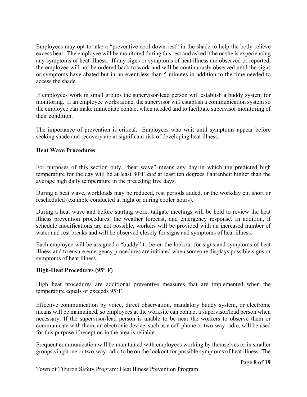Employees may opt to take a "preventive cool-down rest" in the shade to help the body relieve excess heat. The employee will be monitored during this rest and asked if he or she is experiencing any symptoms of heat illness. If any signs or symptoms of heat illness are observed or reported, the employee will not be ordered back to work and will be continuously observed until the signs or symptoms have abated but in no event less than 5 minutes in addition to the time needed to access the shade.

If employees work in small groups the supervisor/lead person will establish a buddy system for monitoring. If an employee works alone, the supervisor will establish a communication system so the employee can make immediate contact when needed and to facilitate supervisor monitoring of their condition.

The importance of prevention is critical. Employees who wait until symptoms appear before seeking shade and recovery are at significant risk of developing heat illness.

# <span id="page-7-0"></span>**Heat Wave Procedures**

For purposes of this section only, "heat wave" means any day in which the predicted high temperature for the day will be at least 80°F *and* at least ten degrees Fahrenheit higher than the average high daily temperature in the preceding five days.

During a heat wave, workloads may be reduced, rest periods added, or the workday cut short or rescheduled (example conducted at night or during cooler hours).

During a heat wave and before starting work, tailgate meetings will be held to review the heat illness prevention procedures, the weather forecast, and emergency response. In addition, if schedule modifications are not possible, workers will be provided with an increased number of water and rest breaks and will be observed closely for signs and symptoms of heat illness.

Each employee will be assigned a "buddy" to be on the lookout for signs and symptoms of heat illness and to ensure emergency procedures are initiated when someone displays possible signs or symptoms of heat illness.

# <span id="page-7-1"></span>**High-Heat Procedures (95° F)**

High heat procedures are additional preventive measures that are implemented when the temperature equals or exceeds 95°F.

Effective communication by voice, direct observation, mandatory buddy system, or electronic means will be maintained, so employees at the worksite can contact a supervisor/lead person when necessary. If the supervisor/lead person is unable to be near the workers to observe them or communicate with them, an electronic device, such as a cell phone or two-way radio, will be used for this purpose if reception in the area is reliable.

Frequent communication will be maintained with employees working by themselves or in smaller groups via phone or two-way radio to be on the lookout for possible symptoms of heat illness. The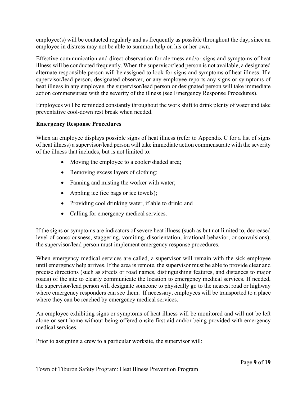employee(s) will be contacted regularly and as frequently as possible throughout the day, since an employee in distress may not be able to summon help on his or her own.

Effective communication and direct observation for alertness and/or signs and symptoms of heat illness will be conducted frequently. When the supervisor/lead person is not available, a designated alternate responsible person will be assigned to look for signs and symptoms of heat illness. If a supervisor/lead person, designated observer, or any employee reports any signs or symptoms of heat illness in any employee, the supervisor/lead person or designated person will take immediate action commensurate with the severity of the illness (see Emergency Response Procedures).

Employees will be reminded constantly throughout the work shift to drink plenty of water and take preventative cool-down rest break when needed.

## <span id="page-8-0"></span>**Emergency Response Procedures**

When an employee displays possible signs of heat illness (refer to Appendix C for a list of signs of heat illness) a supervisor/lead person will take immediate action commensurate with the severity of the illness that includes, but is not limited to:

- Moving the employee to a cooler/shaded area;
- Removing excess layers of clothing;
- Fanning and misting the worker with water;
- Appling ice (ice bags or ice towels);
- Providing cool drinking water, if able to drink; and
- Calling for emergency medical services.

If the signs or symptoms are indicators of severe heat illness (such as but not limited to, decreased level of consciousness, staggering, vomiting, disorientation, irrational behavior, or convulsions), the supervisor/lead person must implement emergency response procedures.

When emergency medical services are called, a supervisor will remain with the sick employee until emergency help arrives. If the area is remote, the supervisor must be able to provide clear and precise directions (such as streets or road names, distinguishing features, and distances to major roads) of the site to clearly communicate the location to emergency medical services. If needed, the supervisor/lead person will designate someone to physically go to the nearest road or highway where emergency responders can see them. If necessary, employees will be transported to a place where they can be reached by emergency medical services.

An employee exhibiting signs or symptoms of heat illness will be monitored and will not be left alone or sent home without being offered onsite first aid and/or being provided with emergency medical services.

Prior to assigning a crew to a particular worksite, the supervisor will: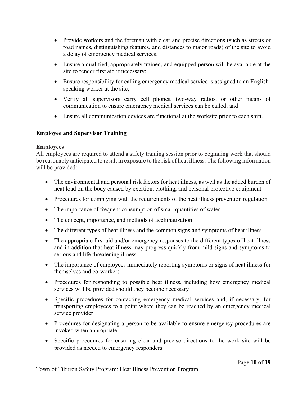- Provide workers and the foreman with clear and precise directions (such as streets or road names, distinguishing features, and distances to major roads) of the site to avoid a delay of emergency medical services;
- Ensure a qualified, appropriately trained, and equipped person will be available at the site to render first aid if necessary;
- Ensure responsibility for calling emergency medical service is assigned to an Englishspeaking worker at the site;
- Verify all supervisors carry cell phones, two-way radios, or other means of communication to ensure emergency medical services can be called; and
- Ensure all communication devices are functional at the worksite prior to each shift.

# <span id="page-9-0"></span>**Employee and Supervisor Training**

# **Employees**

All employees are required to attend a safety training session prior to beginning work that should be reasonably anticipated to result in exposure to the risk of heat illness. The following information will be provided:

- The environmental and personal risk factors for heat illness, as well as the added burden of heat load on the body caused by exertion, clothing, and personal protective equipment
- Procedures for complying with the requirements of the heat illness prevention regulation
- The importance of frequent consumption of small quantities of water
- The concept, importance, and methods of acclimatization
- The different types of heat illness and the common signs and symptoms of heat illness
- The appropriate first aid and/or emergency responses to the different types of heat illness and in addition that heat illness may progress quickly from mild signs and symptoms to serious and life threatening illness
- The importance of employees immediately reporting symptoms or signs of heat illness for themselves and co-workers
- Procedures for responding to possible heat illness, including how emergency medical services will be provided should they become necessary
- Specific procedures for contacting emergency medical services and, if necessary, for transporting employees to a point where they can be reached by an emergency medical service provider
- Procedures for designating a person to be available to ensure emergency procedures are invoked when appropriate
- Specific procedures for ensuring clear and precise directions to the work site will be provided as needed to emergency responders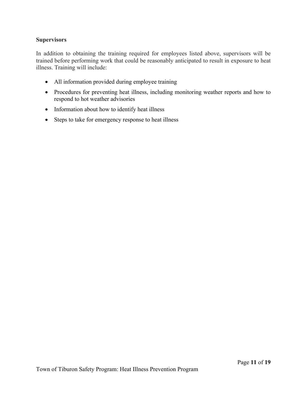# **Supervisors**

In addition to obtaining the training required for employees listed above, supervisors will be trained before performing work that could be reasonably anticipated to result in exposure to heat illness. Training will include:

- All information provided during employee training
- Procedures for preventing heat illness, including monitoring weather reports and how to respond to hot weather advisories
- Information about how to identify heat illness
- Steps to take for emergency response to heat illness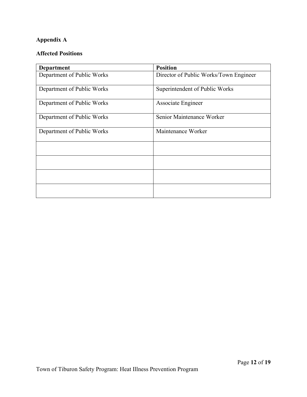# **Appendix A**

# **Affected Positions**

| <b>Department</b>          | <b>Position</b>                        |
|----------------------------|----------------------------------------|
| Department of Public Works | Director of Public Works/Town Engineer |
| Department of Public Works | Superintendent of Public Works         |
| Department of Public Works | Associate Engineer                     |
| Department of Public Works | Senior Maintenance Worker              |
| Department of Public Works | Maintenance Worker                     |
|                            |                                        |
|                            |                                        |
|                            |                                        |
|                            |                                        |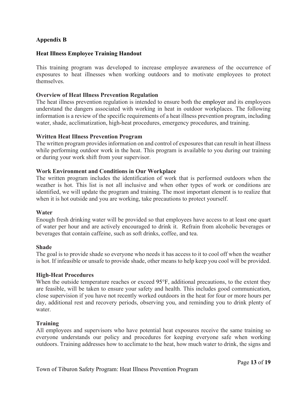# **Appendix B**

#### **Heat Illness Employee Training Handout**

This training program was developed to increase employee awareness of the occurrence of exposures to heat illnesses when working outdoors and to motivate employees to protect themselves.

#### **Overview of Heat Illness Prevention Regulation**

The heat illness prevention regulation is intended to ensure both the employer and its employees understand the dangers associated with working in heat in outdoor workplaces. The following information is a review of the specific requirements of a heat illness prevention program, including water, shade, acclimatization, high-heat procedures, emergency procedures, and training.

#### **Written Heat Illness Prevention Program**

The written program provides information on and control of exposures that can result in heat illness while performing outdoor work in the heat. This program is available to you during our training or during your work shift from your supervisor.

#### **Work Environment and Conditions in Our Workplace**

The written program includes the identification of work that is performed outdoors when the weather is hot. This list is not all inclusive and when other types of work or conditions are identified, we will update the program and training. The most important element is to realize that when it is hot outside and you are working, take precautions to protect yourself.

#### **Water**

Enough fresh drinking water will be provided so that employees have access to at least one quart of water per hour and are actively encouraged to drink it. Refrain from alcoholic beverages or beverages that contain caffeine, such as soft drinks, coffee, and tea.

#### **Shade**

The goal is to provide shade so everyone who needs it has access to it to cool off when the weather is hot. If infeasible or unsafe to provide shade, other means to help keep you cool will be provided.

#### **High-Heat Procedures**

When the outside temperature reaches or exceed 95 $\degree$ F, additional precautions, to the extent they are feasible, will be taken to ensure your safety and health. This includes good communication, close supervision if you have not recently worked outdoors in the heat for four or more hours per day, additional rest and recovery periods, observing you, and reminding you to drink plenty of water.

#### **Training**

All employees and supervisors who have potential heat exposures receive the same training so everyone understands our policy and procedures for keeping everyone safe when working outdoors. Training addresses how to acclimate to the heat, how much water to drink, the signs and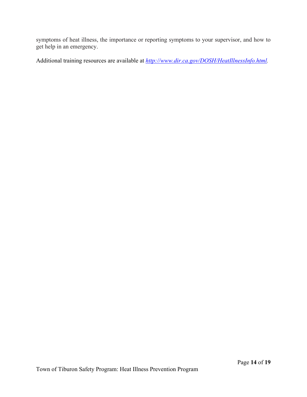symptoms of heat illness, the importance or reporting symptoms to your supervisor, and how to get help in an emergency.

Additional training resources are available at *[http://www.dir.ca.gov/DOSH/HeatIllnessInfo.html.](http://www.dir.ca.gov/DOSH/HeatIllnessInfo.html)*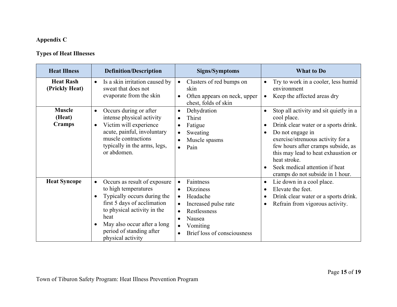# **Appendix C**

# **Types of Heat Illnesses**

| <b>Heat Illness</b>                | <b>Definition/Description</b>                                                                                                                                                                                                                                       | <b>Signs/Symptoms</b>                                                                                                                                            | <b>What to Do</b>                                                                                                                                                                                                                                                                                                                      |
|------------------------------------|---------------------------------------------------------------------------------------------------------------------------------------------------------------------------------------------------------------------------------------------------------------------|------------------------------------------------------------------------------------------------------------------------------------------------------------------|----------------------------------------------------------------------------------------------------------------------------------------------------------------------------------------------------------------------------------------------------------------------------------------------------------------------------------------|
| <b>Heat Rash</b><br>(Prickly Heat) | Is a skin irritation caused by<br>sweat that does not<br>evaporate from the skin                                                                                                                                                                                    | Clusters of red bumps on<br>$\bullet$<br>skin<br>Often appears on neck, upper<br>chest, folds of skin                                                            | Try to work in a cooler, less humid<br>$\bullet$<br>environment<br>Keep the affected areas dry<br>$\bullet$                                                                                                                                                                                                                            |
| <b>Muscle</b><br>(Heat)<br>Cramps  | Occurs during or after<br>$\bullet$<br>intense physical activity<br>Victim will experience<br>$\bullet$<br>acute, painful, involuntary<br>muscle contractions<br>typically in the arms, legs,<br>or abdomen.                                                        | Dehydration<br>$\bullet$<br>Thirst<br>Fatigue<br>Sweating<br>Muscle spasms<br>Pain<br>$\bullet$                                                                  | Stop all activity and sit quietly in a<br>$\bullet$<br>cool place.<br>Drink clear water or a sports drink.<br>Do not engage in<br>exercise/strenuous activity for a<br>few hours after cramps subside, as<br>this may lead to heat exhaustion or<br>heat stroke.<br>Seek medical attention if heat<br>cramps do not subside in 1 hour. |
| <b>Heat Syncope</b>                | Occurs as result of exposure<br>$\bullet$<br>to high temperatures<br>Typically occurs during the<br>first 5 days of acclimation<br>to physical activity in the<br>heat<br>May also occur after a long<br>$\bullet$<br>period of standing after<br>physical activity | Faintness<br>$\bullet$<br><b>Dizziness</b><br>Headache<br>Increased pulse rate<br>$\bullet$<br>Restlessness<br>Nausea<br>Vomiting<br>Brief loss of consciousness | Lie down in a cool place.<br>$\bullet$<br>Elevate the feet.<br>$\bullet$<br>Drink clear water or a sports drink.<br>Refrain from vigorous activity.                                                                                                                                                                                    |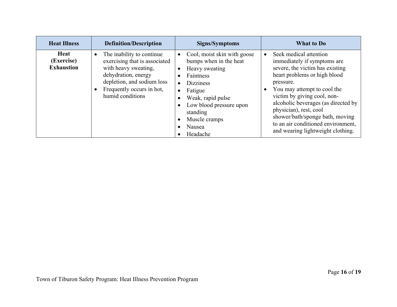| <b>Heat Illness</b>                     | <b>Definition/Description</b>                                                                                                                                                                         | Signs/Symptoms                                                                                                                                                                                                         | What to Do                                                                                                                                                                                                                                                                                                                                                                         |
|-----------------------------------------|-------------------------------------------------------------------------------------------------------------------------------------------------------------------------------------------------------|------------------------------------------------------------------------------------------------------------------------------------------------------------------------------------------------------------------------|------------------------------------------------------------------------------------------------------------------------------------------------------------------------------------------------------------------------------------------------------------------------------------------------------------------------------------------------------------------------------------|
| Heat<br>(Exercise)<br><b>Exhaustion</b> | The inability to continue<br>$\bullet$<br>exercising that is associated<br>with heavy sweating,<br>dehydration, energy<br>depletion, and sodium loss<br>Frequently occurs in hot,<br>humid conditions | Cool, moist skin with goose<br>bumps when in the heat<br>Heavy sweating<br>Faintness<br><b>Dizziness</b><br>Fatigue<br>Weak, rapid pulse<br>Low blood pressure upon<br>standing<br>Muscle cramps<br>Nausea<br>Headache | Seek medical attention<br>immediately if symptoms are<br>severe, the victim has existing<br>heart problems or high blood<br>pressure.<br>You may attempt to cool the<br>victim by giving cool, non-<br>alcoholic beverages (as directed by<br>physician), rest, cool<br>shower/bath/sponge bath, moving<br>to an air conditioned environment,<br>and wearing lightweight clothing. |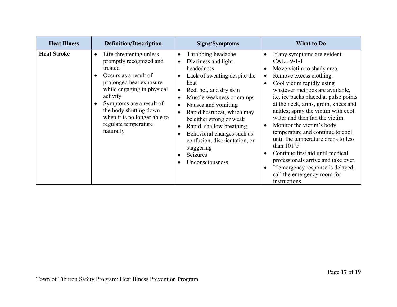| <b>Heat Illness</b> | <b>Definition/Description</b>                                                                                                                                                                                                                                                                       | Signs/Symptoms                                                                                                                                                                                                                                                                                                                                                                                | <b>What to Do</b>                                                                                                                                                                                                                                                                                                                                                                                                                                                                                                                                                                                                 |
|---------------------|-----------------------------------------------------------------------------------------------------------------------------------------------------------------------------------------------------------------------------------------------------------------------------------------------------|-----------------------------------------------------------------------------------------------------------------------------------------------------------------------------------------------------------------------------------------------------------------------------------------------------------------------------------------------------------------------------------------------|-------------------------------------------------------------------------------------------------------------------------------------------------------------------------------------------------------------------------------------------------------------------------------------------------------------------------------------------------------------------------------------------------------------------------------------------------------------------------------------------------------------------------------------------------------------------------------------------------------------------|
| <b>Heat Stroke</b>  | Life-threatening unless<br>$\bullet$<br>promptly recognized and<br>treated<br>Occurs as a result of<br>prolonged heat exposure<br>while engaging in physical<br>activity<br>Symptoms are a result of<br>the body shutting down<br>when it is no longer able to<br>regulate temperature<br>naturally | Throbbing headache<br>$\bullet$<br>Dizziness and light-<br>headedness<br>Lack of sweating despite the<br>heat<br>Red, hot, and dry skin<br>Muscle weakness or cramps<br>Nausea and vomiting<br>Rapid heartbeat, which may<br>be either strong or weak<br>Rapid, shallow breathing<br>Behavioral changes such as<br>confusion, disorientation, or<br>staggering<br>Seizures<br>Unconsciousness | If any symptoms are evident-<br>CALL 9-1-1<br>Move victim to shady area.<br>Remove excess clothing.<br>Cool victim rapidly using<br>whatever methods are available,<br>i.e. ice packs placed at pulse points<br>at the neck, arms, groin, knees and<br>ankles; spray the victim with cool<br>water and then fan the victim.<br>Monitor the victim's body<br>temperature and continue to cool<br>until the temperature drops to less<br>than 101°F<br>Continue first aid until medical<br>professionals arrive and take over.<br>If emergency response is delayed,<br>call the emergency room for<br>instructions. |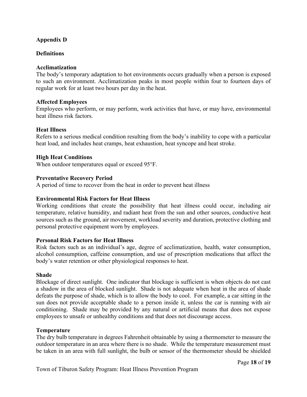# **Appendix D**

# **Definitions**

#### **Acclimatization**

The body's temporary adaptation to hot environments occurs gradually when a person is exposed to such an environment. Acclimatization peaks in most people within four to fourteen days of regular work for at least two hours per day in the heat.

#### **Affected Employees**

Employees who perform, or may perform, work activities that have, or may have, environmental heat illness risk factors.

#### **Heat Illness**

Refers to a serious medical condition resulting from the body's inability to cope with a particular heat load, and includes heat cramps, heat exhaustion, heat syncope and heat stroke.

#### **High Heat Conditions**

When outdoor temperatures equal or exceed 95°F.

#### **Preventative Recovery Period**

A period of time to recover from the heat in order to prevent heat illness

#### **Environmental Risk Factors for Heat Illness**

Working conditions that create the possibility that heat illness could occur, including air temperature, relative humidity, and radiant heat from the sun and other sources, conductive heat sources such as the ground, air movement, workload severity and duration, protective clothing and personal protective equipment worn by employees.

#### **Personal Risk Factors for Heat Illness**

Risk factors such as an individual's age, degree of acclimatization, health, water consumption, alcohol consumption, caffeine consumption, and use of prescription medications that affect the body's water retention or other physiological responses to heat.

#### **Shade**

Blockage of direct sunlight. One indicator that blockage is sufficient is when objects do not cast a shadow in the area of blocked sunlight. Shade is not adequate when heat in the area of shade defeats the purpose of shade, which is to allow the body to cool. For example, a car sitting in the sun does not provide acceptable shade to a person inside it, unless the car is running with air conditioning. Shade may be provided by any natural or artificial means that does not expose employees to unsafe or unhealthy conditions and that does not discourage access.

#### **Temperature**

The dry bulb temperature in degrees Fahrenheit obtainable by using a thermometer to measure the outdoor temperature in an area where there is no shade. While the temperature measurement must be taken in an area with full sunlight, the bulb or sensor of the thermometer should be shielded